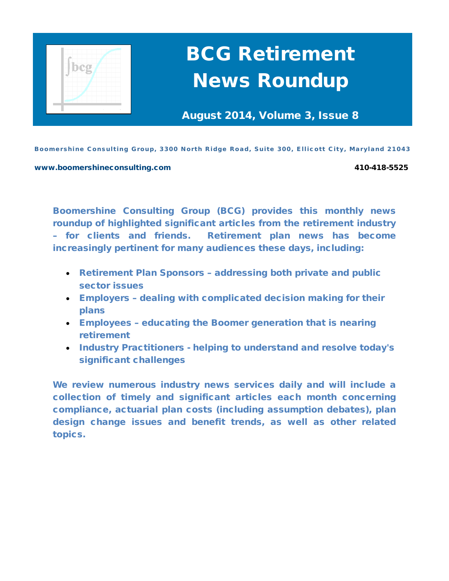

# BCG Retirement News Roundup

August 2014, Volume 3, Issue 8

Boomershine Consulting Group, 3300 North Ridge Road, Suite 300, Ellicott City, Maryland 21043

#### [www.boomershineconsulting.com](http://www.boomershineconsulting.com/) 410-418-5525

Boomershine Consulting Group (BCG) provides this monthly news roundup of highlighted significant articles from the retirement industry – for clients and friends. Retirement plan news has become increasingly pertinent for many audiences these days, including:

- Retirement Plan Sponsors addressing both private and public sector issues
- Employers dealing with complicated decision making for their plans
- Employees educating the Boomer generation that is nearing retirement
- Industry Practitioners helping to understand and resolve today's significant challenges

We review numerous industry news services daily and will include a collection of timely and significant articles each month concerning compliance, actuarial plan costs (including assumption debates), plan design change issues and benefit trends, as well as other related topics.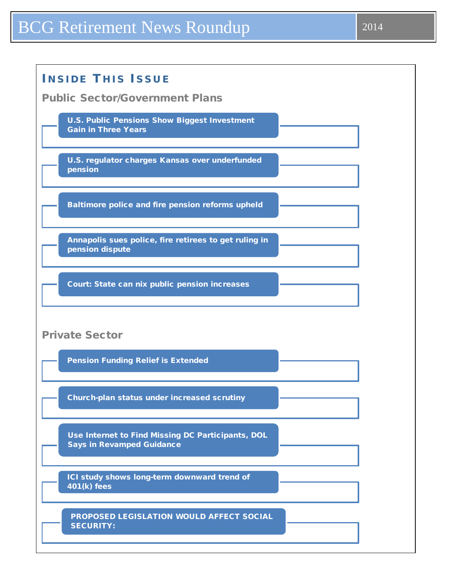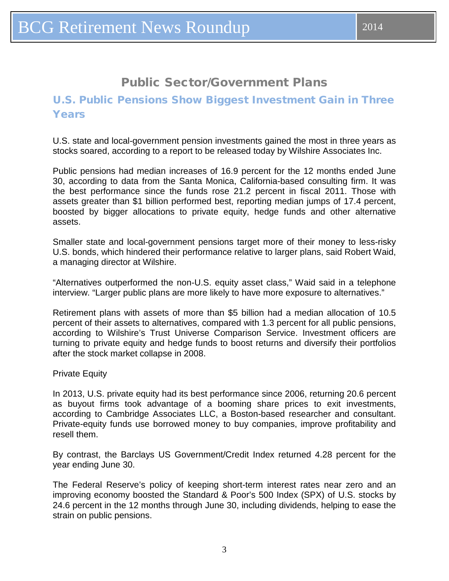# Public Sector/Government Plans

## <span id="page-2-0"></span>U.S. Public Pensions Show Biggest Investment Gain in Three Years

U.S. state and local-government pension investments gained the most in three years as stocks soared, according to a report to be released today by Wilshire Associates Inc.

Public pensions had median increases of 16.9 percent for the 12 months ended June 30, according to data from the Santa Monica, California-based consulting firm. It was the best performance since the funds rose 21.2 percent in fiscal 2011. Those with assets greater than \$1 billion performed best, reporting median jumps of 17.4 percent, boosted by bigger allocations to private equity, hedge funds and other alternative assets.

Smaller state and local-government pensions target more of their money to less-risky U.S. bonds, which hindered their performance relative to larger plans, said Robert Waid, a managing director at Wilshire.

"Alternatives outperformed the non-U.S. equity asset class," Waid said in a telephone interview. "Larger public plans are more likely to have more exposure to alternatives."

Retirement plans with assets of more than \$5 billion had a median allocation of 10.5 percent of their assets to alternatives, compared with 1.3 percent for all public pensions, according to Wilshire's Trust Universe Comparison Service. Investment officers are turning to private equity and hedge funds to boost returns and diversify their portfolios after the stock market collapse in 2008.

Private Equity

In 2013, U.S. private equity had its best performance since 2006, returning 20.6 percent as buyout firms took advantage of a booming share prices to exit investments, according to Cambridge Associates LLC, a Boston-based researcher and consultant. Private-equity funds use borrowed money to buy companies, improve profitability and resell them.

By contrast, the Barclays US Government/Credit Index returned 4.28 percent for the year ending June 30.

The Federal Reserve's policy of keeping short-term interest rates near zero and an improving economy boosted the Standard & Poor's 500 Index (SPX) of U.S. stocks by 24.6 percent in the 12 months through June 30, including dividends, helping to ease the strain on public pensions.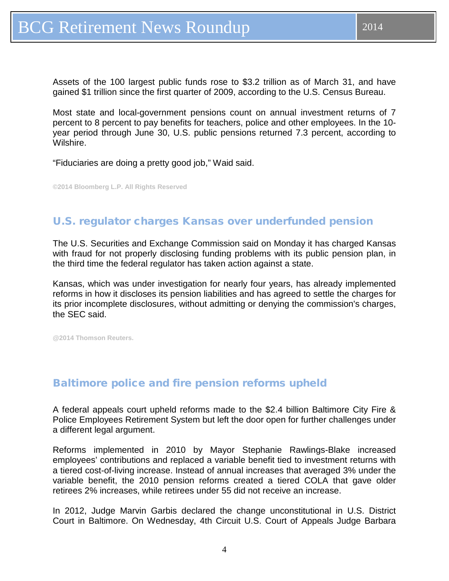<span id="page-3-0"></span>Assets of the 100 largest public funds rose to \$3.2 trillion as of March 31, and have gained \$1 trillion since the first quarter of 2009, according to the U.S. Census Bureau.

Most state and local-government pensions count on annual investment returns of 7 percent to 8 percent to pay benefits for teachers, police and other employees. In the 10 year period through June 30, U.S. public pensions returned 7.3 percent, according to Wilshire.

"Fiduciaries are doing a pretty good job," Waid said.

**©2014 Bloomberg L.P. All Rights Reserved**

## U.S. regulator charges Kansas over underfunded pension

The U.S. Securities and Exchange Commission said on Monday it has charged Kansas with fraud for not properly disclosing funding problems with its public pension plan, in the third time the federal regulator has taken action against a state.

Kansas, which was under investigation for nearly four years, has already implemented reforms in how it discloses its pension liabilities and has agreed to settle the charges for its prior incomplete disclosures, without admitting or denying the commission's charges, the SEC said.

**@2014 Thomson Reuters.**

### Baltimore police and fire pension reforms upheld

A federal appeals court upheld reforms made to the \$2.4 billion Baltimore City Fire & Police Employees Retirement System but left the door open for further challenges under a different legal argument.

Reforms implemented in 2010 by Mayor Stephanie Rawlings-Blake increased employees' contributions and replaced a variable benefit tied to investment returns with a tiered cost-of-living increase. Instead of annual increases that averaged 3% under the variable benefit, the 2010 pension reforms created a tiered COLA that gave older retirees 2% increases, while retirees under 55 did not receive an increase.

In 2012, Judge Marvin Garbis declared the change unconstitutional in U.S. District Court in Baltimore. On Wednesday, 4th Circuit U.S. Court of Appeals Judge Barbara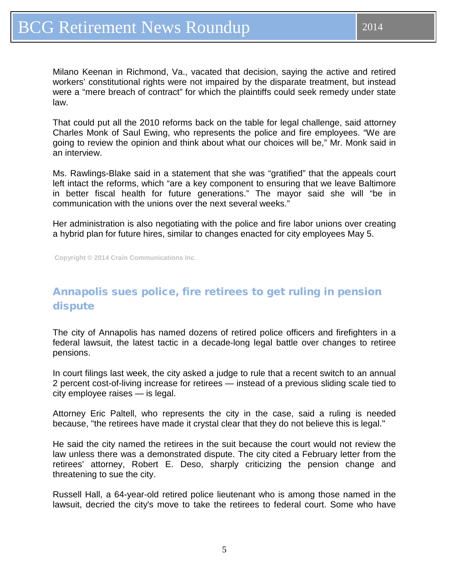<span id="page-4-0"></span>Milano Keenan in Richmond, Va., vacated that decision, saying the active and retired workers' constitutional rights were not impaired by the disparate treatment, but instead were a "mere breach of contract" for which the plaintiffs could seek remedy under state law.

That could put all the 2010 reforms back on the table for legal challenge, said attorney Charles Monk of Saul Ewing, who represents the police and fire employees. "We are going to review the opinion and think about what our choices will be," Mr. Monk said in an interview.

Ms. Rawlings-Blake said in a statement that she was "gratified" that the appeals court left intact the reforms, which "are a key component to ensuring that we leave Baltimore in better fiscal health for future generations." The mayor said she will "be in communication with the unions over the next several weeks."

Her administration is also negotiating with the police and fire labor unions over creating a hybrid plan for future hires, similar to changes enacted for city employees May 5.

**Copyright © 2014 Crain Communications Inc**.

# Annapolis sues police, fire retirees to get ruling in pension dispute

The city of Annapolis has named dozens of retired police officers and firefighters in a federal lawsuit, the latest tactic in a decade-long legal battle over changes to retiree pensions.

In court filings last week, the city asked a judge to rule that a recent switch to an annual 2 percent cost-of-living increase for retirees — instead of a previous sliding scale tied to city employee raises — is legal.

Attorney Eric Paltell, who represents the city in the case, said a ruling is needed because, "the retirees have made it crystal clear that they do not believe this is legal."

He said the city named the retirees in the suit because the court would not review the law unless there was a demonstrated dispute. The city cited a February letter from the retirees' attorney, Robert E. Deso, sharply criticizing the pension change and threatening to sue the city.

Russell Hall, a 64-year-old retired police lieutenant who is among those named in the lawsuit, decried the city's move to take the retirees to federal court. Some who have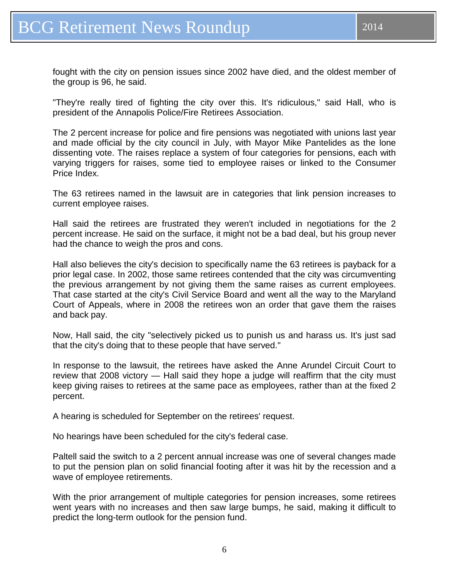"They're really tired of fighting the city over this. It's ridiculous," said Hall, who is president of the Annapolis Police/Fire Retirees Association.

The 2 percent increase for police and fire pensions was negotiated with unions last year and made official by the city council in July, with Mayor Mike Pantelides as the lone dissenting vote. The raises replace a system of four categories for pensions, each with varying triggers for raises, some tied to employee raises or linked to the Consumer Price Index.

The 63 retirees named in the lawsuit are in categories that link pension increases to current employee raises.

Hall said the retirees are frustrated they weren't included in negotiations for the 2 percent increase. He said on the surface, it might not be a bad deal, but his group never had the chance to weigh the pros and cons.

Hall also believes the city's decision to specifically name the 63 retirees is payback for a prior legal case. In 2002, those same retirees contended that the city was circumventing the previous arrangement by not giving them the same raises as current employees. That case started at the city's Civil Service Board and went all the way to the Maryland Court of Appeals, where in 2008 the retirees won an order that gave them the raises and back pay.

Now, Hall said, the city "selectively picked us to punish us and harass us. It's just sad that the city's doing that to these people that have served."

In response to the lawsuit, the retirees have asked the Anne Arundel Circuit Court to review that 2008 victory — Hall said they hope a judge will reaffirm that the city must keep giving raises to retirees at the same pace as employees, rather than at the fixed 2 percent.

A hearing is scheduled for September on the retirees' request.

No hearings have been scheduled for the city's federal case.

Paltell said the switch to a 2 percent annual increase was one of several changes made to put the pension plan on solid financial footing after it was hit by the recession and a wave of employee retirements.

With the prior arrangement of multiple categories for pension increases, some retirees went years with no increases and then saw large bumps, he said, making it difficult to predict the long-term outlook for the pension fund.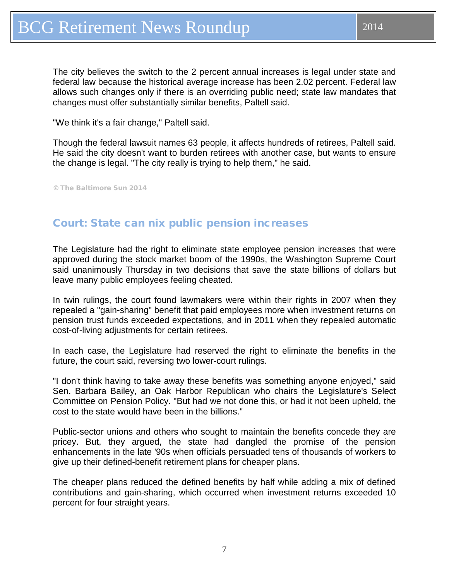<span id="page-6-0"></span>The city believes the switch to the 2 percent annual increases is legal under state and federal law because the historical average increase has been 2.02 percent. Federal law allows such changes only if there is an overriding public need; state law mandates that changes must offer substantially similar benefits, Paltell said.

"We think it's a fair change," Paltell said.

Though the federal lawsuit names 63 people, it affects hundreds of retirees, Paltell said. He said the city doesn't want to burden retirees with another case, but wants to ensure the change is legal. "The city really is trying to help them," he said.

© The Baltimore Sun 2014

#### Court: State can nix public pension increases

The Legislature had the right to eliminate state employee pension increases that were approved during the stock market boom of the 1990s, the Washington Supreme Court said unanimously Thursday in two decisions that save the state billions of dollars but leave many public employees feeling cheated.

In twin rulings, the court found lawmakers were within their rights in 2007 when they repealed a "gain-sharing" benefit that paid employees more when investment returns on pension trust funds exceeded expectations, and in 2011 when they repealed automatic cost-of-living adjustments for certain retirees.

In each case, the Legislature had reserved the right to eliminate the benefits in the future, the court said, reversing two lower-court rulings.

"I don't think having to take away these benefits was something anyone enjoyed," said Sen. Barbara Bailey, an Oak Harbor Republican who chairs the Legislature's Select Committee on Pension Policy. "But had we not done this, or had it not been upheld, the cost to the state would have been in the billions."

Public-sector unions and others who sought to maintain the benefits concede they are pricey. But, they argued, the state had dangled the promise of the pension enhancements in the late '90s when officials persuaded tens of thousands of workers to give up their defined-benefit retirement plans for cheaper plans.

The cheaper plans reduced the defined benefits by half while adding a mix of defined contributions and gain-sharing, which occurred when investment returns exceeded 10 percent for four straight years.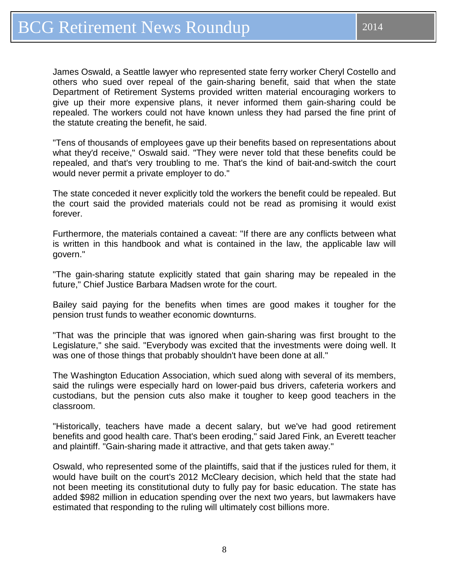James Oswald, a Seattle lawyer who represented state ferry worker Cheryl Costello and others who sued over repeal of the gain-sharing benefit, said that when the state Department of Retirement Systems provided written material encouraging workers to give up their more expensive plans, it never informed them gain-sharing could be repealed. The workers could not have known unless they had parsed the fine print of the statute creating the benefit, he said.

"Tens of thousands of employees gave up their benefits based on representations about what they'd receive," Oswald said. "They were never told that these benefits could be repealed, and that's very troubling to me. That's the kind of bait-and-switch the court would never permit a private employer to do."

The state conceded it never explicitly told the workers the benefit could be repealed. But the court said the provided materials could not be read as promising it would exist forever.

Furthermore, the materials contained a caveat: "If there are any conflicts between what is written in this handbook and what is contained in the law, the applicable law will govern."

"The gain-sharing statute explicitly stated that gain sharing may be repealed in the future," Chief Justice Barbara Madsen wrote for the court.

Bailey said paying for the benefits when times are good makes it tougher for the pension trust funds to weather economic downturns.

"That was the principle that was ignored when gain-sharing was first brought to the Legislature," she said. "Everybody was excited that the investments were doing well. It was one of those things that probably shouldn't have been done at all."

The Washington Education Association, which sued along with several of its members, said the rulings were especially hard on lower-paid bus drivers, cafeteria workers and custodians, but the pension cuts also make it tougher to keep good teachers in the classroom.

"Historically, teachers have made a decent salary, but we've had good retirement benefits and good health care. That's been eroding," said Jared Fink, an Everett teacher and plaintiff. "Gain-sharing made it attractive, and that gets taken away."

Oswald, who represented some of the plaintiffs, said that if the justices ruled for them, it would have built on the court's 2012 McCleary decision, which held that the state had not been meeting its constitutional duty to fully pay for basic education. The state has added \$982 million in education spending over the next two years, but lawmakers have estimated that responding to the ruling will ultimately cost billions more.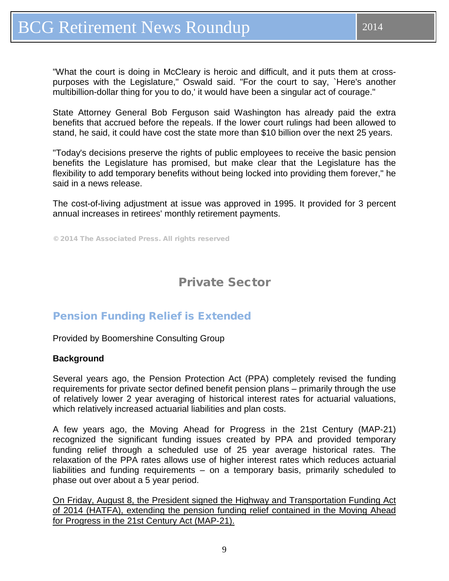<span id="page-8-0"></span>"What the court is doing in McCleary is heroic and difficult, and it puts them at crosspurposes with the Legislature," Oswald said. "For the court to say, `Here's another multibillion-dollar thing for you to do,' it would have been a singular act of courage."

State Attorney General Bob Ferguson said Washington has already paid the extra benefits that accrued before the repeals. If the lower court rulings had been allowed to stand, he said, it could have cost the state more than \$10 billion over the next 25 years.

"Today's decisions preserve the rights of public employees to receive the basic pension benefits the Legislature has promised, but make clear that the Legislature has the flexibility to add temporary benefits without being locked into providing them forever," he said in a news release.

The cost-of-living adjustment at issue was approved in 1995. It provided for 3 percent annual increases in retirees' monthly retirement payments.

© 2014 The Associated Press. All rights reserved

# Private Sector

## Pension Funding Relief is Extended

Provided by Boomershine Consulting Group

#### **Background**

Several years ago, the Pension Protection Act (PPA) completely revised the funding requirements for private sector defined benefit pension plans – primarily through the use of relatively lower 2 year averaging of historical interest rates for actuarial valuations, which relatively increased actuarial liabilities and plan costs.

A few years ago, the Moving Ahead for Progress in the 21st Century (MAP‐21) recognized the significant funding issues created by PPA and provided temporary funding relief through a scheduled use of 25 year average historical rates. The relaxation of the PPA rates allows use of higher interest rates which reduces actuarial liabilities and funding requirements – on a temporary basis, primarily scheduled to phase out over about a 5 year period.

On Friday, August 8, the President signed the Highway and Transportation Funding Act of 2014 (HATFA), extending the pension funding relief contained in the Moving Ahead for Progress in the 21st Century Act (MAP‐21).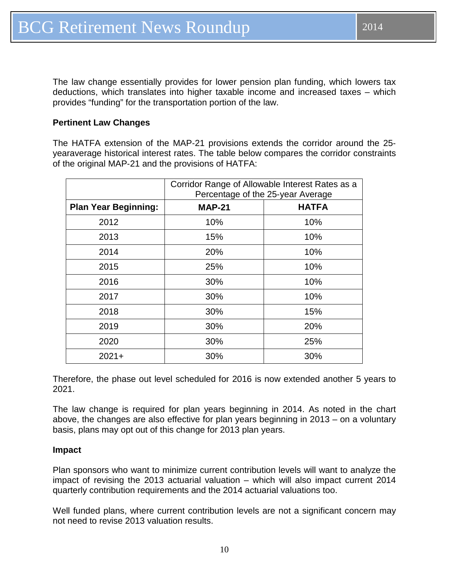The law change essentially provides for lower pension plan funding, which lowers tax deductions, which translates into higher taxable income and increased taxes – which provides "funding" for the transportation portion of the law.

#### **Pertinent Law Changes**

The HATFA extension of the MAP‐21 provisions extends the corridor around the 25‐ yearaverage historical interest rates. The table below compares the corridor constraints of the original MAP‐21 and the provisions of HATFA:

|                             | Corridor Range of Allowable Interest Rates as a<br>Percentage of the 25-year Average |              |
|-----------------------------|--------------------------------------------------------------------------------------|--------------|
| <b>Plan Year Beginning:</b> | <b>MAP-21</b>                                                                        | <b>HATFA</b> |
| 2012                        | 10%                                                                                  | 10%          |
| 2013                        | 15%                                                                                  | 10%          |
| 2014                        | 20%                                                                                  | 10%          |
| 2015                        | 25%                                                                                  | 10%          |
| 2016                        | 30%                                                                                  | 10%          |
| 2017                        | 30%                                                                                  | 10%          |
| 2018                        | 30%                                                                                  | 15%          |
| 2019                        | 30%                                                                                  | 20%          |
| 2020                        | 30%                                                                                  | 25%          |
| $2021 +$                    | 30%                                                                                  | 30%          |

Therefore, the phase out level scheduled for 2016 is now extended another 5 years to 2021.

The law change is required for plan years beginning in 2014. As noted in the chart above, the changes are also effective for plan years beginning in 2013 – on a voluntary basis, plans may opt out of this change for 2013 plan years.

#### **Impact**

Plan sponsors who want to minimize current contribution levels will want to analyze the impact of revising the 2013 actuarial valuation – which will also impact current 2014 quarterly contribution requirements and the 2014 actuarial valuations too.

Well funded plans, where current contribution levels are not a significant concern may not need to revise 2013 valuation results.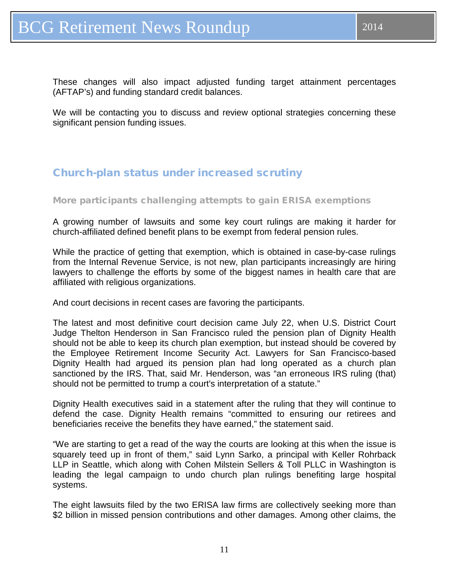<span id="page-10-0"></span>These changes will also impact adjusted funding target attainment percentages (AFTAP's) and funding standard credit balances.

We will be contacting you to discuss and review optional strategies concerning these significant pension funding issues.

## Church-plan status under increased scrutiny

#### More participants challenging attempts to gain ERISA exemptions

A growing number of lawsuits and some key court rulings are making it harder for church-affiliated defined benefit plans to be exempt from federal pension rules.

While the practice of getting that exemption, which is obtained in case-by-case rulings from the Internal Revenue Service, is not new, plan participants increasingly are hiring lawyers to challenge the efforts by some of the biggest names in health care that are affiliated with religious organizations.

And court decisions in recent cases are favoring the participants.

The latest and most definitive court decision came July 22, when U.S. District Court Judge Thelton Henderson in San Francisco ruled the pension plan of Dignity Health should not be able to keep its church plan exemption, but instead should be covered by the Employee Retirement Income Security Act. Lawyers for San Francisco-based Dignity Health had argued its pension plan had long operated as a church plan sanctioned by the IRS. That, said Mr. Henderson, was "an erroneous IRS ruling (that) should not be permitted to trump a court's interpretation of a statute."

Dignity Health executives said in a statement after the ruling that they will continue to defend the case. Dignity Health remains "committed to ensuring our retirees and beneficiaries receive the benefits they have earned," the statement said.

"We are starting to get a read of the way the courts are looking at this when the issue is squarely teed up in front of them," said Lynn Sarko, a principal with Keller Rohrback LLP in Seattle, which along with Cohen Milstein Sellers & Toll PLLC in Washington is leading the legal campaign to undo church plan rulings benefiting large hospital systems.

The eight lawsuits filed by the two ERISA law firms are collectively seeking more than \$2 billion in missed pension contributions and other damages. Among other claims, the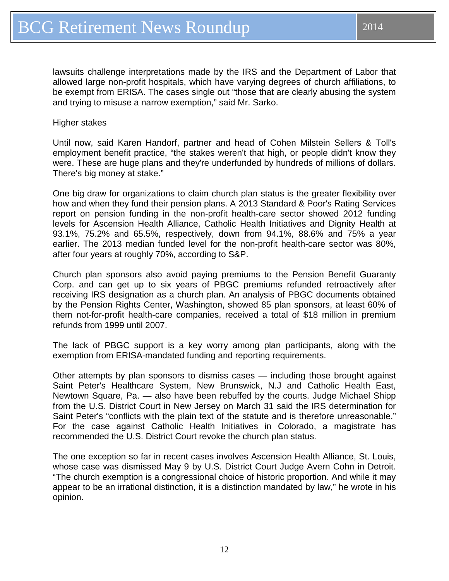lawsuits challenge interpretations made by the IRS and the Department of Labor that allowed large non-profit hospitals, which have varying degrees of church affiliations, to be exempt from ERISA. The cases single out "those that are clearly abusing the system and trying to misuse a narrow exemption," said Mr. Sarko.

Higher stakes

Until now, said Karen Handorf, partner and head of Cohen Milstein Sellers & Toll's employment benefit practice, "the stakes weren't that high, or people didn't know they were. These are huge plans and they're underfunded by hundreds of millions of dollars. There's big money at stake."

One big draw for organizations to claim church plan status is the greater flexibility over how and when they fund their pension plans. A 2013 Standard & Poor's Rating Services report on pension funding in the non-profit health-care sector showed 2012 funding levels for Ascension Health Alliance, Catholic Health Initiatives and Dignity Health at 93.1%, 75.2% and 65.5%, respectively, down from 94.1%, 88.6% and 75% a year earlier. The 2013 median funded level for the non-profit health-care sector was 80%, after four years at roughly 70%, according to S&P.

Church plan sponsors also avoid paying premiums to the Pension Benefit Guaranty Corp. and can get up to six years of PBGC premiums refunded retroactively after receiving IRS designation as a church plan. An analysis of PBGC documents obtained by the Pension Rights Center, Washington, showed 85 plan sponsors, at least 60% of them not-for-profit health-care companies, received a total of \$18 million in premium refunds from 1999 until 2007.

The lack of PBGC support is a key worry among plan participants, along with the exemption from ERISA-mandated funding and reporting requirements.

Other attempts by plan sponsors to dismiss cases — including those brought against Saint Peter's Healthcare System, New Brunswick, N.J and Catholic Health East, Newtown Square, Pa. — also have been rebuffed by the courts. Judge Michael Shipp from the U.S. District Court in New Jersey on March 31 said the IRS determination for Saint Peter's "conflicts with the plain text of the statute and is therefore unreasonable." For the case against Catholic Health Initiatives in Colorado, a magistrate has recommended the U.S. District Court revoke the church plan status.

The one exception so far in recent cases involves Ascension Health Alliance, St. Louis, whose case was dismissed May 9 by U.S. District Court Judge Avern Cohn in Detroit. "The church exemption is a congressional choice of historic proportion. And while it may appear to be an irrational distinction, it is a distinction mandated by law," he wrote in his opinion.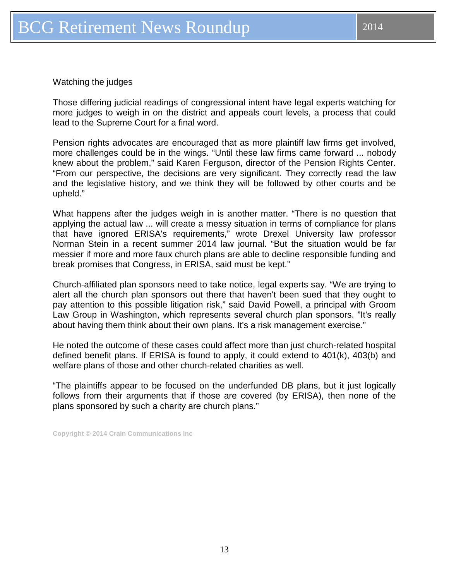Watching the judges

Those differing judicial readings of congressional intent have legal experts watching for more judges to weigh in on the district and appeals court levels, a process that could lead to the Supreme Court for a final word.

Pension rights advocates are encouraged that as more plaintiff law firms get involved, more challenges could be in the wings. "Until these law firms came forward ... nobody knew about the problem," said Karen Ferguson, director of the Pension Rights Center. "From our perspective, the decisions are very significant. They correctly read the law and the legislative history, and we think they will be followed by other courts and be upheld."

What happens after the judges weigh in is another matter. "There is no question that applying the actual law ... will create a messy situation in terms of compliance for plans that have ignored ERISA's requirements," wrote Drexel University law professor Norman Stein in a recent summer 2014 law journal. "But the situation would be far messier if more and more faux church plans are able to decline responsible funding and break promises that Congress, in ERISA, said must be kept."

Church-affiliated plan sponsors need to take notice, legal experts say. "We are trying to alert all the church plan sponsors out there that haven't been sued that they ought to pay attention to this possible litigation risk," said David Powell, a principal with Groom Law Group in Washington, which represents several church plan sponsors. "It's really about having them think about their own plans. It's a risk management exercise."

He noted the outcome of these cases could affect more than just church-related hospital defined benefit plans. If ERISA is found to apply, it could extend to 401(k), 403(b) and welfare plans of those and other church-related charities as well.

"The plaintiffs appear to be focused on the underfunded DB plans, but it just logically follows from their arguments that if those are covered (by ERISA), then none of the plans sponsored by such a charity are church plans."

**Copyright © 2014 Crain Communications Inc**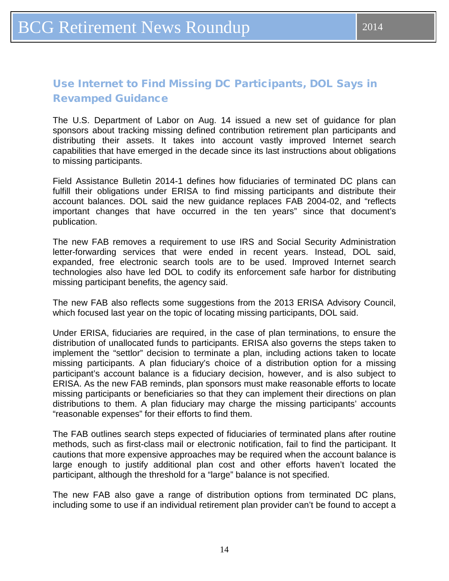## <span id="page-13-0"></span>Use Internet to Find Missing DC Participants, DOL Says in Revamped Guidance

The U.S. Department of Labor on Aug. 14 issued a new set of guidance for plan sponsors about tracking missing defined contribution retirement plan participants and distributing their assets. It takes into account vastly improved Internet search capabilities that have emerged in the decade since its last instructions about obligations to missing participants.

Field Assistance Bulletin 2014-1 defines how fiduciaries of terminated DC plans can fulfill their obligations under ERISA to find missing participants and distribute their account balances. DOL said the new guidance replaces FAB 2004-02, and "reflects important changes that have occurred in the ten years" since that document's publication.

The new FAB removes a requirement to use IRS and Social Security Administration letter-forwarding services that were ended in recent years. Instead, DOL said, expanded, free electronic search tools are to be used. Improved Internet search technologies also have led DOL to codify its enforcement safe harbor for distributing missing participant benefits, the agency said.

The new FAB also reflects some suggestions from the 2013 ERISA Advisory Council, which focused last year on the topic of locating missing participants, DOL said.

Under ERISA, fiduciaries are required, in the case of plan terminations, to ensure the distribution of unallocated funds to participants. ERISA also governs the steps taken to implement the "settlor" decision to terminate a plan, including actions taken to locate missing participants. A plan fiduciary's choice of a distribution option for a missing participant's account balance is a fiduciary decision, however, and is also subject to ERISA. As the new FAB reminds, plan sponsors must make reasonable efforts to locate missing participants or beneficiaries so that they can implement their directions on plan distributions to them. A plan fiduciary may charge the missing participants' accounts "reasonable expenses" for their efforts to find them.

The FAB outlines search steps expected of fiduciaries of terminated plans after routine methods, such as first-class mail or electronic notification, fail to find the participant. It cautions that more expensive approaches may be required when the account balance is large enough to justify additional plan cost and other efforts haven't located the participant, although the threshold for a "large" balance is not specified.

The new FAB also gave a range of distribution options from terminated DC plans, including some to use if an individual retirement plan provider can't be found to accept a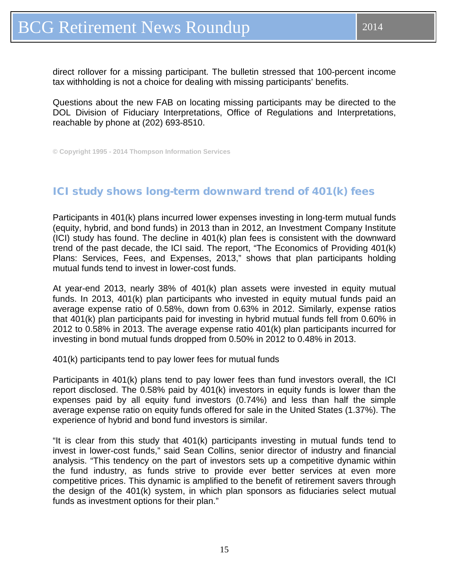<span id="page-14-0"></span>direct rollover for a missing participant. The bulletin stressed that 100-percent income tax withholding is not a choice for dealing with missing participants' benefits.

Questions about the new FAB on locating missing participants may be directed to the DOL Division of Fiduciary Interpretations, Office of Regulations and Interpretations, reachable by phone at (202) 693-8510.

**© Copyright 1995 - 2014 Thompson Information Services**

### ICI study shows long-term downward trend of 401(k) fees

Participants in 401(k) plans incurred lower expenses investing in long-term mutual funds (equity, hybrid, and bond funds) in 2013 than in 2012, an Investment Company Institute (ICI) study has found. The decline in 401(k) plan fees is consistent with the downward trend of the past decade, the ICI said. The report, "The Economics of Providing 401(k) Plans: Services, Fees, and Expenses, 2013," shows that plan participants holding mutual funds tend to invest in lower-cost funds.

At year-end 2013, nearly 38% of 401(k) plan assets were invested in equity mutual funds. In 2013, 401(k) plan participants who invested in equity mutual funds paid an average expense ratio of 0.58%, down from 0.63% in 2012. Similarly, expense ratios that 401(k) plan participants paid for investing in hybrid mutual funds fell from 0.60% in 2012 to 0.58% in 2013. The average expense ratio 401(k) plan participants incurred for investing in bond mutual funds dropped from 0.50% in 2012 to 0.48% in 2013.

401(k) participants tend to pay lower fees for mutual funds

Participants in 401(k) plans tend to pay lower fees than fund investors overall, the ICI report disclosed. The 0.58% paid by 401(k) investors in equity funds is lower than the expenses paid by all equity fund investors (0.74%) and less than half the simple average expense ratio on equity funds offered for sale in the United States (1.37%). The experience of hybrid and bond fund investors is similar.

"It is clear from this study that 401(k) participants investing in mutual funds tend to invest in lower-cost funds," said Sean Collins, senior director of industry and financial analysis. "This tendency on the part of investors sets up a competitive dynamic within the fund industry, as funds strive to provide ever better services at even more competitive prices. This dynamic is amplified to the benefit of retirement savers through the design of the 401(k) system, in which plan sponsors as fiduciaries select mutual funds as investment options for their plan."